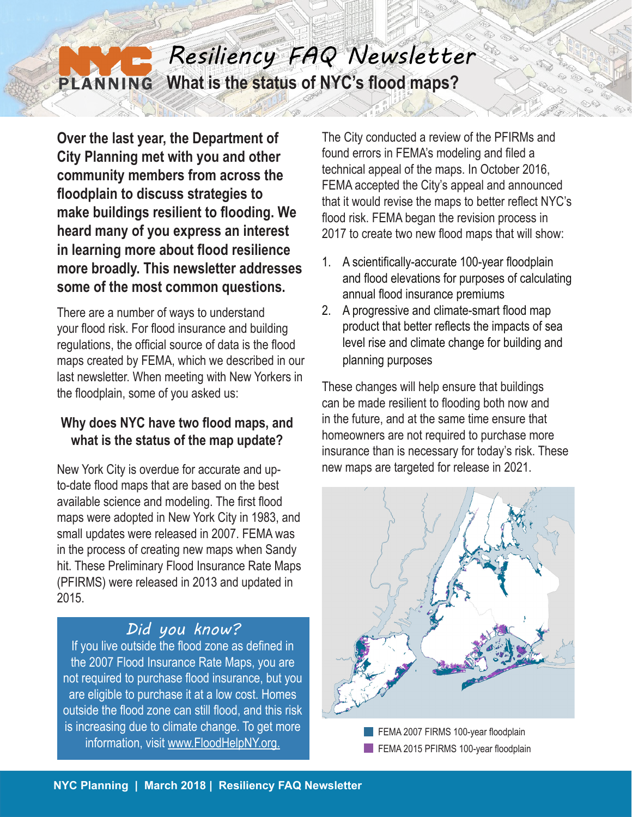#### *Resiliency FAQ Newsletter* **What is the status of NYC's flood maps?** PLANNING

**Over the last year, the Department of City Planning met with you and other community members from across the floodplain to discuss strategies to make buildings resilient to flooding. We heard many of you express an interest in learning more about flood resilience more broadly. This newsletter addresses some of the most common questions.**

There are a number of ways to understand your flood risk. For flood insurance and building regulations, the official source of data is the flood maps created by FEMA, which we described in our last newsletter. When meeting with New Yorkers in the floodplain, some of you asked us:

#### **Why does NYC have two flood maps, and what is the status of the map update?**

New York City is overdue for accurate and upto-date flood maps that are based on the best available science and modeling. The first flood maps were adopted in New York City in 1983, and small updates were released in 2007. FEMA was in the process of creating new maps when Sandy hit. These Preliminary Flood Insurance Rate Maps (PFIRMS) were released in 2013 and updated in 2015.

# *Did you know?*

If you live outside the flood zone as defined in the 2007 Flood Insurance Rate Maps, you are not required to purchase flood insurance, but you are eligible to purchase it at a low cost. Homes outside the flood zone can still flood, and this risk is increasing due to climate change. To get more information, visit www.FloodHelpNY.org.

The City conducted a review of the PFIRMs and found errors in FEMA's modeling and filed a technical appeal of the maps. In October 2016, FEMA accepted the City's appeal and announced that it would revise the maps to better reflect NYC's flood risk. FEMA began the revision process in 2017 to create two new flood maps that will show:

- 1. A scientifically-accurate 100-year floodplain and flood elevations for purposes of calculating annual flood insurance premiums
- 2. A progressive and climate-smart flood map product that better reflects the impacts of sea level rise and climate change for building and planning purposes

These changes will help ensure that buildings can be made resilient to flooding both now and in the future, and at the same time ensure that homeowners are not required to purchase more insurance than is necessary for today's risk. These new maps are targeted for release in 2021.



FEMA 2007 FIRMS 100-year floodplain FEMA 2015 PFIRMS 100-year floodplain